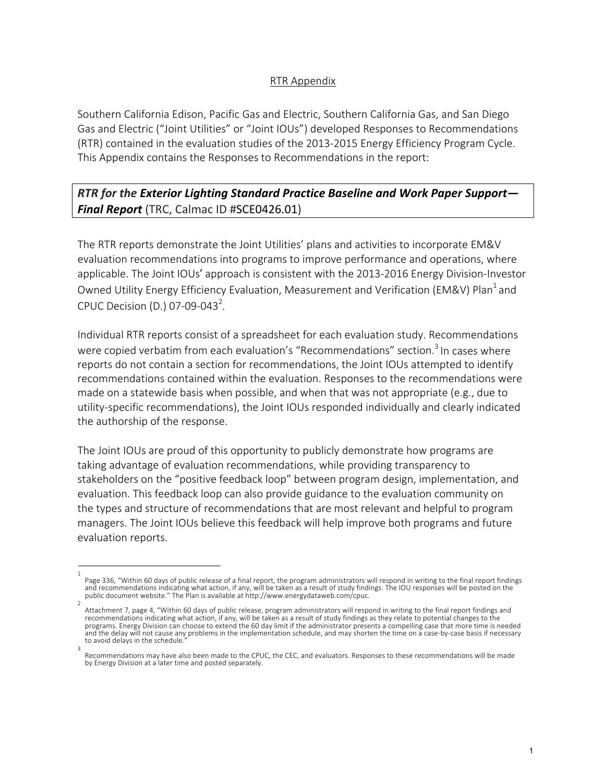## RTR Appendix

Southern California Edison, Pacific Gas and Electric, Southern California Gas, and San Diego Gas and Electric ("Joint Utilities" or "Joint IOUs") developed Responses to Recommendations (RTR) contained in the evaluation studies of the 2013-2015 Energy Efficiency Program Cycle. This Appendix contains the Responses to Recommendations in the report:

## *RTR for the Exterior Lighting Standard Practice Baseline and Work Paper Support— Final Report* (TRC, Calmac ID #SCE0426.01)

The RTR reports demonstrate the Joint Utilities' plans and activities to incorporate EM&V evaluation recommendations into programs to improve performance and operations, where applicable. The Joint IOUs' approach is consistent with the 2013-2016 Energy Division-Investor Owned Utility Energy Efficiency Evaluation, Measurement and Verification (EM&V) Plan<sup>1</sup> and CPUC Decision (D.) 07-09-043<sup>2</sup>.

Individual RTR reports consist of a spreadsheet for each evaluation study. Recommendations were copied verbatim from each evaluation's "Recommendations" section.<sup>3</sup> In cases where reports do not contain a section for recommendations, the Joint IOUs attempted to identify recommendations contained within the evaluation. Responses to the recommendations were made on a statewide basis when possible, and when that was not appropriate (e.g., due to utility-specific recommendations), the Joint IOUs responded individually and clearly indicated the authorship of the response.

The Joint IOUs are proud of this opportunity to publicly demonstrate how programs are taking advantage of evaluation recommendations, while providing transparency to stakeholders on the "positive feedback loop" between program design, implementation, and evaluation. This feedback loop can also provide guidance to the evaluation community on the types and structure of recommendations that are most relevant and helpful to program managers. The Joint IOUs believe this feedback will help improve both programs and future evaluation reports.

<sup>1</sup>  Page 336, "Within 60 days of public release of a final report, the program administrators will respond in writing to the final report findings and recommendations indicating what action, if any, will be taken as a result of study findings. The IOU responses will be posted on the public document website." The Plan is available at http://www.energydataweb.com/cpuc.

Attachment 7, page 4, "Within 60 days of public release, program administrators will respond in writing to the final report findings and recommendations indicating what action, if any, will be taken as a result of study findings as they relate to potential changes to the programs. Energy Division can choose to extend the 60 day limit if the administrator presents a compelling case that more time is needed and the delay will not cause any problems in the implementation schedule, and may shorten the time on a case-by-case basis if necessary to avoid delays in the schedule. 3

Recommendations may have also been made to the CPUC, the CEC, and evaluators. Responses to these recommendations will be made by Energy Division at a later time and posted separately.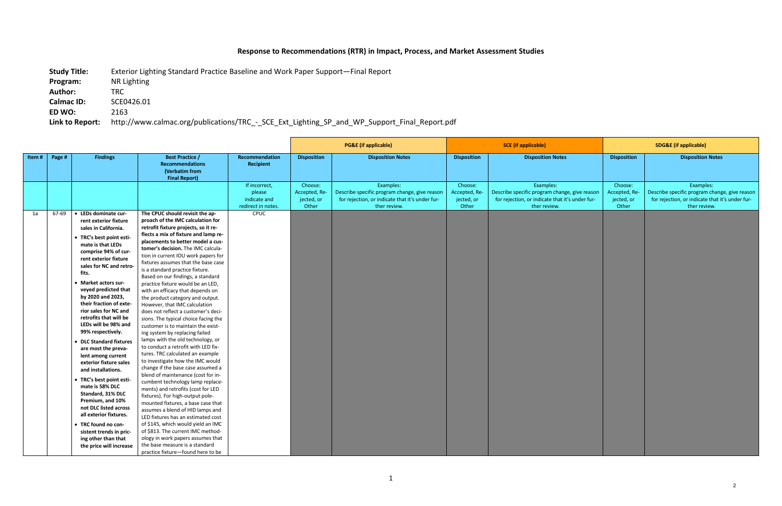## **Response to Recommendations (RTR) in Impact, Process, and Market Assessment Studies**

**Study Title:** Exterior Lighting Standard Practice Baseline and Work Paper Support—Final Report

**Program:** NR Lighting

**Author:** TRC

**Calmac ID:** SCE0426.01

**ED WO:** 2163

**Link to Report:** http://www.calmac.org/publications/TRC\_-\_SCE\_Ext\_Lighting\_SP\_and\_WP\_Support\_Final\_Report.pdf

|       |        |                                                                                                                                                                                                                                                                                                                                                                                                                                                                                                                                                                                                                                                                                                                                                                                    |                                                                                                                                                                                                                                                                                                                                                                                                                                                                                                                                                                                                                                                                                                                                                                                                                                                                                                                                                                                                                                                                                                                                                                                                                                                                                                                                                |                                                               | <b>PG&amp;E</b> (if applicable)                 |                                                                                                                               | <b>SCE</b> (if applicable)                      |                                                                                                                               | <b>SDG&amp;E</b> (if applicable)                |                                                                                                                               |
|-------|--------|------------------------------------------------------------------------------------------------------------------------------------------------------------------------------------------------------------------------------------------------------------------------------------------------------------------------------------------------------------------------------------------------------------------------------------------------------------------------------------------------------------------------------------------------------------------------------------------------------------------------------------------------------------------------------------------------------------------------------------------------------------------------------------|------------------------------------------------------------------------------------------------------------------------------------------------------------------------------------------------------------------------------------------------------------------------------------------------------------------------------------------------------------------------------------------------------------------------------------------------------------------------------------------------------------------------------------------------------------------------------------------------------------------------------------------------------------------------------------------------------------------------------------------------------------------------------------------------------------------------------------------------------------------------------------------------------------------------------------------------------------------------------------------------------------------------------------------------------------------------------------------------------------------------------------------------------------------------------------------------------------------------------------------------------------------------------------------------------------------------------------------------|---------------------------------------------------------------|-------------------------------------------------|-------------------------------------------------------------------------------------------------------------------------------|-------------------------------------------------|-------------------------------------------------------------------------------------------------------------------------------|-------------------------------------------------|-------------------------------------------------------------------------------------------------------------------------------|
| Item# | Page # | <b>Findings</b>                                                                                                                                                                                                                                                                                                                                                                                                                                                                                                                                                                                                                                                                                                                                                                    | <b>Best Practice /</b><br><b>Recommendations</b><br>(Verbatim from<br><b>Final Report)</b>                                                                                                                                                                                                                                                                                                                                                                                                                                                                                                                                                                                                                                                                                                                                                                                                                                                                                                                                                                                                                                                                                                                                                                                                                                                     | Recommendation<br>Recipient                                   | <b>Disposition</b>                              | <b>Disposition Notes</b>                                                                                                      | <b>Disposition</b>                              | <b>Disposition Notes</b>                                                                                                      | <b>Disposition</b>                              | <b>Disposition Notes</b>                                                                                                      |
|       |        |                                                                                                                                                                                                                                                                                                                                                                                                                                                                                                                                                                                                                                                                                                                                                                                    |                                                                                                                                                                                                                                                                                                                                                                                                                                                                                                                                                                                                                                                                                                                                                                                                                                                                                                                                                                                                                                                                                                                                                                                                                                                                                                                                                | If incorrect,<br>please<br>indicate and<br>redirect in notes. | Choose:<br>Accepted, Re-<br>jected, or<br>Other | Examples:<br>Describe specific program change, give reason<br>for rejection, or indicate that it's under fur-<br>ther review. | Choose:<br>Accepted, Re-<br>jected, or<br>Other | Examples:<br>Describe specific program change, give reason<br>for rejection, or indicate that it's under fur-<br>ther review. | Choose:<br>Accepted, Re-<br>jected, or<br>Other | Examples:<br>Describe specific program change, give reason<br>for rejection, or indicate that it's under fur-<br>ther review. |
| 1a    | 67-69  | • LEDs dominate cur-<br>rent exterior fixture<br>sales in California.<br>• TRC's best point esti-<br>mate is that LEDs<br>comprise 94% of cur-<br>rent exterior fixture<br>sales for NC and retro-<br>fits.<br>• Market actors sur-<br>veyed predicted that<br>by 2020 and 2023,<br>their fraction of exte-<br>rior sales for NC and<br>retrofits that will be<br>LEDs will be 98% and<br>99% respectively.<br>• DLC Standard fixtures<br>are most the preva-<br>lent among current<br>exterior fixture sales<br>and installations.<br>• TRC's best point esti-<br>mate is 58% DLC<br>Standard, 31% DLC<br>Premium, and 10%<br>not DLC listed across<br>all exterior fixtures.<br>• TRC found no con-<br>sistent trends in pric-<br>ing other than that<br>the price will increase | The CPUC should revisit the ap-<br>proach of the IMC calculation for<br>retrofit fixture projects, so it re-<br>flects a mix of fixture and lamp re-<br>placements to better model a cus-<br>tomer's decision. The IMC calcula-<br>tion in current IOU work papers for<br>fixtures assumes that the base case<br>is a standard practice fixture.<br>Based on our findings, a standard<br>practice fixture would be an LED,<br>with an efficacy that depends on<br>the product category and output.<br>However, that IMC calculation<br>does not reflect a customer's deci-<br>sions. The typical choice facing the<br>customer is to maintain the exist-<br>ing system by replacing failed<br>lamps with the old technology, or<br>to conduct a retrofit with LED fix-<br>tures. TRC calculated an example<br>to investigate how the IMC would<br>change if the base case assumed a<br>blend of maintenance (cost for in-<br>cumbent technology lamp replace-<br>ments) and retrofits (cost for LED<br>fixtures). For high-output pole-<br>mounted fixtures, a base case that<br>assumes a blend of HID lamps and<br>LED fixtures has an estimated cost<br>of \$145, which would yield an IMC<br>of \$813. The current IMC method-<br>ology in work papers assumes that<br>the base measure is a standard<br>practice fixture-found here to be | CPUC                                                          |                                                 |                                                                                                                               |                                                 |                                                                                                                               |                                                 |                                                                                                                               |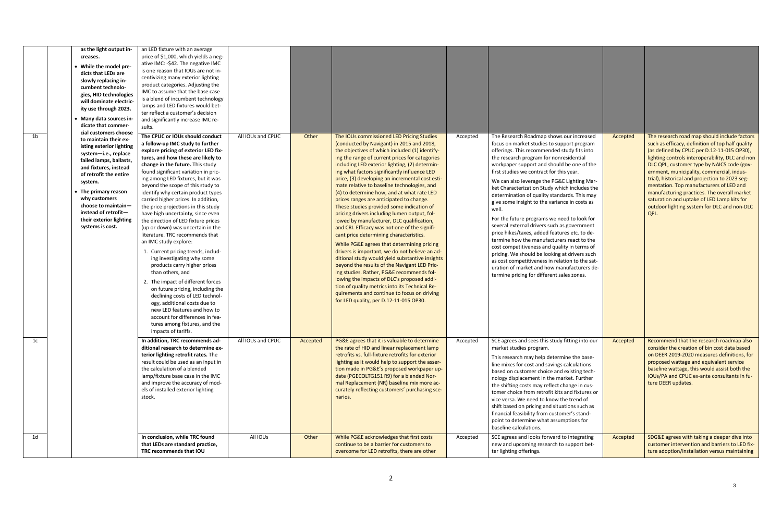| 1 <sub>b</sub> | as the light output in-<br>creases.<br>• While the model pre-<br>dicts that LEDs are<br>slowly replacing in-<br>cumbent technolo-<br>gies, HID technologies<br>will dominate electric-<br>ity use through 2023.<br>• Many data sources in-<br>dicate that commer-<br>cial customers choose<br>to maintain their ex-<br>isting exterior lighting<br>system-i.e., replace<br>failed lamps, ballasts,<br>and fixtures, instead<br>of retrofit the entire<br>system.<br>• The primary reason<br>why customers<br>choose to maintain-<br>instead of retrofit-<br>their exterior lighting<br>systems is cost. | an LED fixture with an average<br>price of \$1,000, which yields a neg-<br>ative IMC: - \$42. The negative IMC<br>is one reason that IOUs are not in-<br>centivizing many exterior lighting<br>product categories. Adjusting the<br>IMC to assume that the base case<br>is a blend of incumbent technology<br>lamps and LED fixtures would bet-<br>ter reflect a customer's decision<br>and significantly increase IMC re-<br>sults.<br>The CPUC or IOUs should conduct<br>a follow-up IMC study to further<br>explore pricing of exterior LED fix-<br>tures, and how these are likely to<br>change in the future. This study<br>found significant variation in pric-<br>ing among LED fixtures, but it was<br>beyond the scope of this study to<br>identify why certain product types<br>carried higher prices. In addition,<br>the price projections in this study<br>have high uncertainty, since even<br>the direction of LED fixture prices<br>(up or down) was uncertain in the<br>literature. TRC recommends that<br>an IMC study explore:<br>1. Current pricing trends, includ-<br>ing investigating why some<br>products carry higher prices<br>than others, and<br>2. The impact of different forces<br>on future pricing, including the<br>declining costs of LED technol-<br>ogy, additional costs due to<br>new LED features and how to<br>account for differences in fea-<br>tures among fixtures, and the<br>impacts of tariffs. | All IOUs and CPUC | Other    | The IOUs commissioned LED Pricing Studies<br>(conducted by Navigant) in 2015 and 2018,<br>the objectives of which included (1) identify-<br>ing the range of current prices for categories<br>including LED exterior lighting, (2) determin-<br>ing what factors significantly influence LED<br>price, (3) developing an incremental cost esti-<br>mate relative to baseline technologies, and<br>(4) to determine how, and at what rate LED<br>prices ranges are anticipated to change.<br>These studies provided some indication of<br>pricing drivers including lumen output, fol-<br>lowed by manufacturer, DLC qualification,<br>and CRI. Efficacy was not one of the signifi-<br>cant price determining characteristics.<br>While PG&E agrees that determining pricing<br>drivers is important, we do not believe an ad-<br>ditional study would yield substantive insights<br>beyond the results of the Navigant LED Pric-<br>ing studies. Rather, PG&E recommends fol-<br>lowing the impacts of DLC's proposed addi-<br>tion of quality metrics into its Technical Re-<br>quirements and continue to focus on driving<br>for LED quality, per D.12-11-015 OP30. | Accepted | The Research Roadmap shows our increased<br>focus on market studies to support program<br>offerings. This recommended study fits into<br>the research program for nonresidential<br>workpaper support and should be one of the<br>first studies we contract for this year.<br>We can also leverage the PG&E Lighting Mar-<br>ket Characterization Study which includes the<br>determination of quality standards. This may<br>give some insight to the variance in costs as<br>well.<br>For the future programs we need to look for<br>several external drivers such as government<br>price hikes/taxes, added features etc. to de-<br>termine how the manufacturers react to the<br>cost competitiveness and quality in terms of<br>pricing. We should be looking at drivers such<br>as cost competitiveness in relation to the sat-<br>uration of market and how manufacturers de-<br>termine pricing for different sales zones. | Accepted | The research road map should include factors<br>such as efficacy, definition of top half quality<br>(as defined by CPUC per D.12-11-015 OP30),<br>lighting controls interoperability, DLC and non<br>DLC QPL, customer type by NAICS code (gov-<br>ernment, municipality, commercial, indus-<br>trial), historical and projection to 2023 seg-<br>mentation. Top manufacturers of LED and<br>manufacturing practices. The overall market<br>saturation and uptake of LED Lamp kits for<br>outdoor lighting system for DLC and non-DLC<br>QPL. |
|----------------|---------------------------------------------------------------------------------------------------------------------------------------------------------------------------------------------------------------------------------------------------------------------------------------------------------------------------------------------------------------------------------------------------------------------------------------------------------------------------------------------------------------------------------------------------------------------------------------------------------|-------------------------------------------------------------------------------------------------------------------------------------------------------------------------------------------------------------------------------------------------------------------------------------------------------------------------------------------------------------------------------------------------------------------------------------------------------------------------------------------------------------------------------------------------------------------------------------------------------------------------------------------------------------------------------------------------------------------------------------------------------------------------------------------------------------------------------------------------------------------------------------------------------------------------------------------------------------------------------------------------------------------------------------------------------------------------------------------------------------------------------------------------------------------------------------------------------------------------------------------------------------------------------------------------------------------------------------------------------------------------------------------------------------------------------------------------|-------------------|----------|-------------------------------------------------------------------------------------------------------------------------------------------------------------------------------------------------------------------------------------------------------------------------------------------------------------------------------------------------------------------------------------------------------------------------------------------------------------------------------------------------------------------------------------------------------------------------------------------------------------------------------------------------------------------------------------------------------------------------------------------------------------------------------------------------------------------------------------------------------------------------------------------------------------------------------------------------------------------------------------------------------------------------------------------------------------------------------------------------------------------------------------------------------------------------|----------|------------------------------------------------------------------------------------------------------------------------------------------------------------------------------------------------------------------------------------------------------------------------------------------------------------------------------------------------------------------------------------------------------------------------------------------------------------------------------------------------------------------------------------------------------------------------------------------------------------------------------------------------------------------------------------------------------------------------------------------------------------------------------------------------------------------------------------------------------------------------------------------------------------------------------------|----------|-----------------------------------------------------------------------------------------------------------------------------------------------------------------------------------------------------------------------------------------------------------------------------------------------------------------------------------------------------------------------------------------------------------------------------------------------------------------------------------------------------------------------------------------------|
| 1c             |                                                                                                                                                                                                                                                                                                                                                                                                                                                                                                                                                                                                         | In addition, TRC recommends ad-<br>ditional research to determine ex-<br>terior lighting retrofit rates. The<br>result could be used as an input in<br>the calculation of a blended<br>lamp/fixture base case in the IMC<br>and improve the accuracy of mod-<br>els of installed exterior lighting<br>stock.                                                                                                                                                                                                                                                                                                                                                                                                                                                                                                                                                                                                                                                                                                                                                                                                                                                                                                                                                                                                                                                                                                                                    | All IOUs and CPUC | Accepted | PG&E agrees that it is valuable to determine<br>the rate of HID and linear replacement lamp<br>retrofits vs. full-fixture retrofits for exterior<br>lighting as it would help to support the asser-<br>tion made in PG&E's proposed workpaper up-<br>date (PGECOLTG151 R9) for a blended Nor-<br>mal Replacement (NR) baseline mix more ac-<br>curately reflecting customers' purchasing sce-<br>narios.                                                                                                                                                                                                                                                                                                                                                                                                                                                                                                                                                                                                                                                                                                                                                                | Accepted | SCE agrees and sees this study fitting into our<br>market studies program.<br>This research may help determine the base-<br>line mixes for cost and savings calculations<br>based on customer choice and existing tech-<br>nology displacement in the market. Further<br>the shifting costs may reflect change in cus-<br>tomer choice from retrofit kits and fixtures or<br>vice versa. We need to know the trend of<br>shift based on pricing and situations such as<br>financial feasibility from customer's stand-<br>point to determine what assumptions for<br>baseline calculations.                                                                                                                                                                                                                                                                                                                                        | Accepted | Recommend that the research roadmap also<br>consider the creation of bin cost data based<br>on DEER 2019-2020 measures definitions, for<br>proposed wattage and equivalent service<br>baseline wattage, this would assist both the<br>IOUs/PA and CPUC ex-ante consultants in fu-<br>ture DEER updates.                                                                                                                                                                                                                                       |
| 1 <sub>d</sub> |                                                                                                                                                                                                                                                                                                                                                                                                                                                                                                                                                                                                         | In conclusion, while TRC found<br>that LEDs are standard practice,<br>TRC recommends that IOU                                                                                                                                                                                                                                                                                                                                                                                                                                                                                                                                                                                                                                                                                                                                                                                                                                                                                                                                                                                                                                                                                                                                                                                                                                                                                                                                                   | All IOUs          | Other    | While PG&E acknowledges that first costs<br>continue to be a barrier for customers to<br>overcome for LED retrofits, there are other                                                                                                                                                                                                                                                                                                                                                                                                                                                                                                                                                                                                                                                                                                                                                                                                                                                                                                                                                                                                                                    | Accepted | SCE agrees and looks forward to integrating<br>new and upcoming research to support bet-<br>ter lighting offerings.                                                                                                                                                                                                                                                                                                                                                                                                                                                                                                                                                                                                                                                                                                                                                                                                                | Accepted | SDG&E agrees with taking a deeper dive into<br>customer intervention and barriers to LED fix-<br>ture adoption/installation versus maintaining                                                                                                                                                                                                                                                                                                                                                                                                |